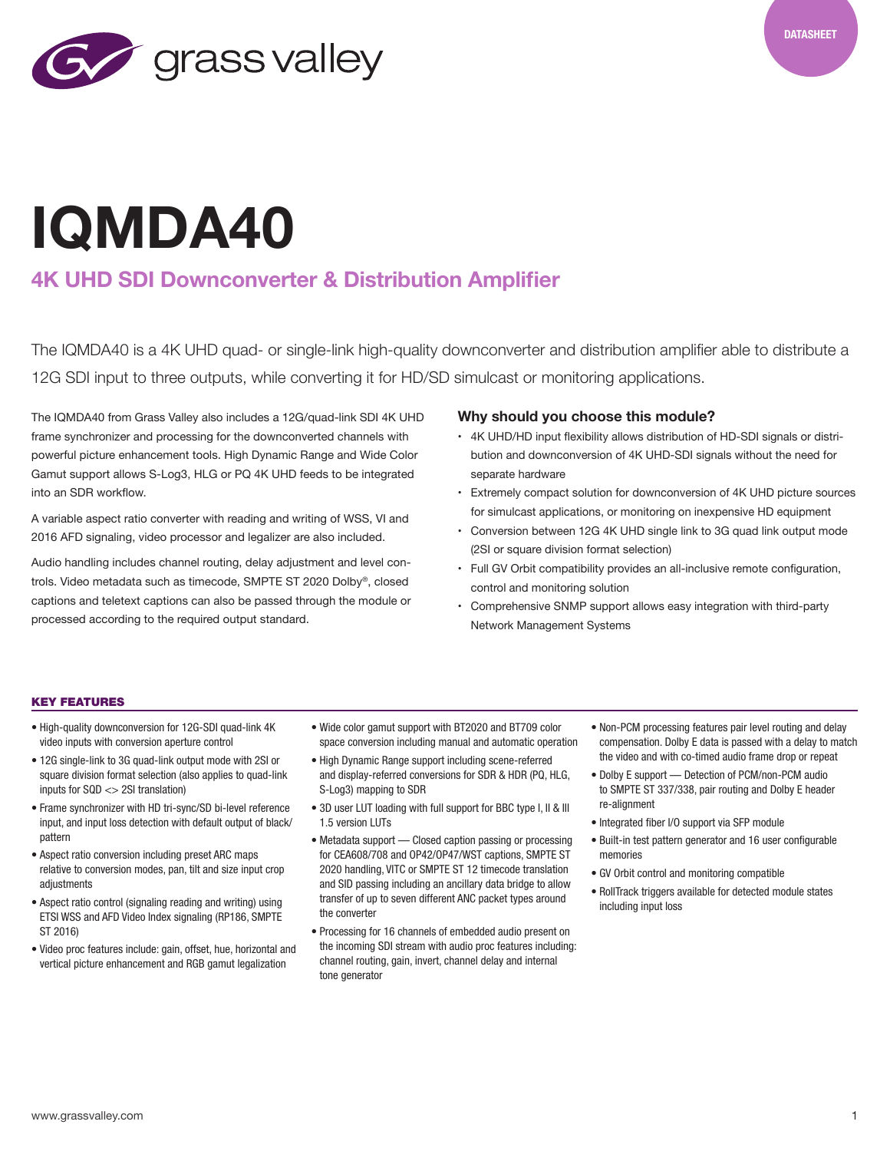

# **IQMDA40**

## **4K UHD SDI Downconverter & Distribution Amplifier**

The IQMDA40 is a 4K UHD quad- or single-link high-quality downconverter and distribution amplifier able to distribute a 12G SDI input to three outputs, while converting it for HD/SD simulcast or monitoring applications.

The IQMDA40 from Grass Valley also includes a 12G/quad-link SDI 4K UHD frame synchronizer and processing for the downconverted channels with powerful picture enhancement tools. High Dynamic Range and Wide Color Gamut support allows S-Log3, HLG or PQ 4K UHD feeds to be integrated into an SDR workflow.

A variable aspect ratio converter with reading and writing of WSS, VI and 2016 AFD signaling, video processor and legalizer are also included.

Audio handling includes channel routing, delay adjustment and level controls. Video metadata such as timecode, SMPTE ST 2020 Dolby®, closed captions and teletext captions can also be passed through the module or processed according to the required output standard.

### **Why should you choose this module?**

- 4K UHD/HD input flexibility allows distribution of HD-SDI signals or distribution and downconversion of 4K UHD-SDI signals without the need for separate hardware
- Extremely compact solution for downconversion of 4K UHD picture sources for simulcast applications, or monitoring on inexpensive HD equipment
- Conversion between 12G 4K UHD single link to 3G quad link output mode (2SI or square division format selection)
- Full GV Orbit compatibility provides an all-inclusive remote configuration, control and monitoring solution
- Comprehensive SNMP support allows easy integration with third-party Network Management Systems

#### KEY FEATURES

- High-quality downconversion for 12G-SDI quad-link 4K video inputs with conversion aperture control
- 12G single-link to 3G quad-link output mode with 2SI or square division format selection (also applies to quad-link inputs for SQD <> 2SI translation)
- Frame synchronizer with HD tri-sync/SD bi-level reference input, and input loss detection with default output of black/ pattern
- Aspect ratio conversion including preset ARC maps relative to conversion modes, pan, tilt and size input crop adiustments
- Aspect ratio control (signaling reading and writing) using ETSI WSS and AFD Video Index signaling (RP186, SMPTE ST 2016)
- Video proc features include: gain, offset, hue, horizontal and vertical picture enhancement and RGB gamut legalization
- Wide color gamut support with BT2020 and BT709 color space conversion including manual and automatic operation
- High Dynamic Range support including scene-referred and display-referred conversions for SDR & HDR (PQ, HLG, S-Log3) mapping to SDR
- 3D user LUT loading with full support for BBC type I, II & III 1.5 version LUTs
- Metadata support Closed caption passing or processing for CEA608/708 and OP42/OP47/WST captions, SMPTE ST 2020 handling, VITC or SMPTE ST 12 timecode translation and SID passing including an ancillary data bridge to allow transfer of up to seven different ANC packet types around the converter
- Processing for 16 channels of embedded audio present on the incoming SDI stream with audio proc features including: channel routing, gain, invert, channel delay and internal tone generator
- Non-PCM processing features pair level routing and delay compensation. Dolby E data is passed with a delay to match the video and with co-timed audio frame drop or repeat
- Dolby E support Detection of PCM/non-PCM audio to SMPTE ST 337/338, pair routing and Dolby E header re-alignment
- Integrated fiber I/O support via SFP module
- Built-in test pattern generator and 16 user configurable memories
- GV Orbit control and monitoring compatible
- RollTrack triggers available for detected module states including input loss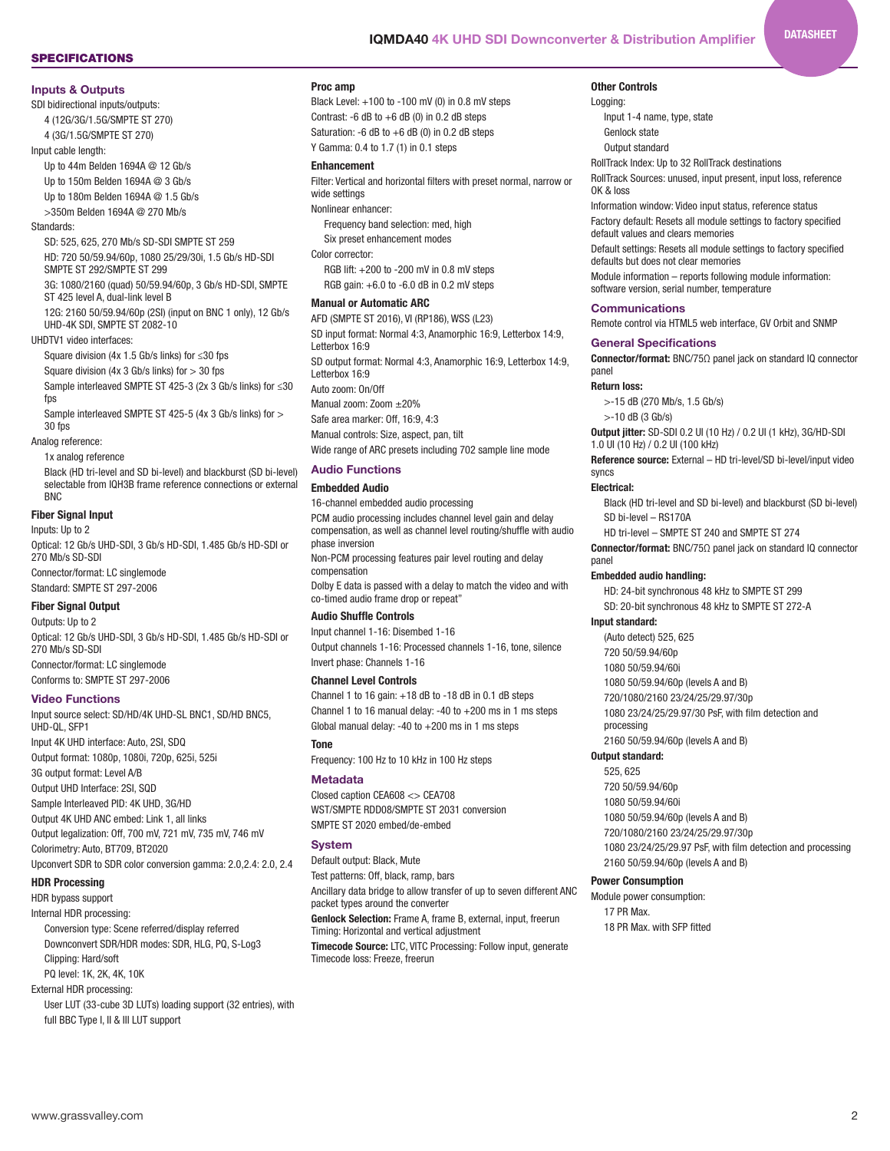#### SPECIFICATIONS

#### **Inputs & Outputs**

SDI bidirectional inputs/outputs: 4 (12G/3G/1.5G/SMPTE ST 270)

4 (3G/1.5G/SMPTE ST 270)

Input cable length:

Up to 44m Belden 1694A @ 12 Gb/s

Up to 150m Belden 1694A @ 3 Gb/s

Up to 180m Belden 1694A @ 1.5 Gb/s

>350m Belden 1694A @ 270 Mb/s

#### Standards:

SD: 525, 625, 270 Mb/s SD-SDI SMPTE ST 259

HD: 720 50/59.94/60p, 1080 25/29/30i, 1.5 Gb/s HD-SDI SMPTE ST 292/SMPTE ST 299

3G: 1080/2160 (quad) 50/59.94/60p, 3 Gb/s HD-SDI, SMPTE ST 425 level A, dual-link level B

12G: 2160 50/59.94/60p (2SI) (input on BNC 1 only), 12 Gb/s UHD-4K SDI, SMPTE ST 2082-10

UHDTV1 video interfaces:

Square division (4x 1.5 Gb/s links) for ≤30 fps

Square division (4x 3 Gb/s links) for  $>$  30 fps Sample interleaved SMPTE ST 425-3 (2x 3 Gb/s links) for ≤30

fps Sample interleaved SMPTE ST 425-5 (4x 3 Gb/s links) for >

30 fps

Analog reference:

1x analog reference Black (HD tri-level and SD bi-level) and blackburst (SD bi-level) selectable from IQH3B frame reference connections or external

#### **Fiber Signal Input**

BNC

Inputs: Up to 2 Optical: 12 Gb/s UHD-SDI, 3 Gb/s HD-SDI, 1.485 Gb/s HD-SDI or 270 Mb/s SD-SDI Connector/format: LC singlemode Standard: SMPTE ST 297-2006

#### Fiber Signal Output

Outputs: Up to 2 Optical: 12 Gb/s UHD-SDI, 3 Gb/s HD-SDI, 1.485 Gb/s HD-SDI or 270 Mb/s SD-SDI Connector/format: LC singlemode Conforms to: SMPTE ST 297-2006

#### **Video Functions**

Input source select: SD/HD/4K UHD-SL BNC1, SD/HD BNC5, UHD-QL, SFP1 Input 4K UHD interface: Auto, 2SI, SDQ Output format: 1080p, 1080i, 720p, 625i, 525i 3G output format: Level A/B Output UHD Interface: 2SI, SQD Sample Interleaved PID: 4K UHD, 3G/HD Output 4K UHD ANC embed: Link 1, all links Output legalization: Off, 700 mV, 721 mV, 735 mV, 746 mV Colorimetry: Auto, BT709, BT2020 Upconvert SDR to SDR color conversion gamma: 2.0,2.4: 2.0, 2.4

#### HDR Processing

HDR bypass support

Internal HDR processing:

Conversion type: Scene referred/display referred Downconvert SDR/HDR modes: SDR, HLG, PQ, S-Log3 Clipping: Hard/soft

## PQ level: 1K, 2K, 4K, 10K

External HDR processing:

User LUT (33-cube 3D LUTs) loading support (32 entries), with full BBC Type I, II & III LUT support

#### Proc amp

Black Level: +100 to -100 mV (0) in 0.8 mV steps Contrast: -6 dB to  $+6$  dB (0) in 0.2 dB steps Saturation: -6  $dB$  to  $+6$   $dB$  (0) in 0.2  $dB$  steps Y Gamma: 0.4 to 1.7 (1) in 0.1 steps

#### Enhancement

Filter: Vertical and horizontal filters with preset normal, narrow or wide settings

Nonlinear enhancer:

Frequency band selection: med, high Six preset enhancement modes

Color corrector:

RGB lift: +200 to -200 mV in 0.8 mV steps RGB gain:  $+6.0$  to  $-6.0$  dB in 0.2 mV steps

#### Manual or Automatic ARC

AFD (SMPTE ST 2016), VI (RP186), WSS (L23) SD input format: Normal 4:3, Anamorphic 16:9, Letterbox 14:9, Letterbox 16:9 SD output format: Normal 4:3, Anamorphic 16:9, Letterbox 14:9, Letterbox 16:9 Auto zoom: On/Off Manual zoom: Zoom ±20% Safe area marker: Off, 16:9, 4:3 Manual controls: Size, aspect, pan, tilt Wide range of ARC presets including 702 sample line mode

#### **Audio Functions**

#### Embedded Audio

16-channel embedded audio processing PCM audio processing includes channel level gain and delay compensation, as well as channel level routing/shuffle with audio phase inversion Non-PCM processing features pair level routing and delay

compensation Dolby E data is passed with a delay to match the video and with

co-timed audio frame drop or repeat"

## Audio Shuffle Controls

Input channel 1-16: Disembed 1-16 Output channels 1-16: Processed channels 1-16, tone, silence Invert phase: Channels 1-16

#### Channel Level Controls

Channel 1 to 16 gain: +18 dB to -18 dB in 0.1 dB steps Channel 1 to 16 manual delay: -40 to +200 ms in 1 ms steps Global manual delay: -40 to  $+200$  ms in 1 ms steps

#### Tone

Frequency: 100 Hz to 10 kHz in 100 Hz steps

#### **Metadata**

Closed caption CEA608 <> CEA708 WST/SMPTE RDD08/SMPTE ST 2031 conversion SMPTE ST 2020 embed/de-embed

#### **System**

Default output: Black, Mute Test patterns: Off, black, ramp, bars Ancillary data bridge to allow transfer of up to seven different ANC packet types around the converter Genlock Selection: Frame A, frame B, external, input, freerun Timing: Horizontal and vertical adjustment Timecode Source: LTC, VITC Processing: Follow input, generate

Timecode loss: Freeze, freerun

#### Other Controls

Logging: Input 1-4 name, type, state Genlock state

Output standard

RollTrack Index: Up to 32 RollTrack destinations

RollTrack Sources: unused, input present, input loss, reference OK & loss

**DATASHEET** 

Information window: Video input status, reference status Factory default: Resets all module settings to factory specified default values and clears memories

Default settings: Resets all module settings to factory specified defaults but does not clear memories

Module information – reports following module information: software version, serial number, temperature

#### **Communications**

Remote control via HTML5 web interface, GV Orbit and SNMP

#### **General Specifications**

Connector/format: BNC/75Ω panel jack on standard IQ connector panel

#### Return loss:

>-15 dB (270 Mb/s, 1.5 Gb/s)

>-10 dB (3 Gb/s)

Output jitter: SD-SDI 0.2 UI (10 Hz) / 0.2 UI (1 kHz), 3G/HD-SDI 1.0 UI (10 Hz) / 0.2 UI (100 kHz)

Reference source: External – HD tri-level/SD bi-level/input video syncs

#### Electrical:

panel

Black (HD tri-level and SD bi-level) and blackburst (SD bi-level) SD bi-level – RS170A

HD tri-level – SMPTE ST 240 and SMPTE ST 274 Connector/format: BNC/75Ω panel jack on standard IQ connector

#### Embedded audio handling:

HD: 24-bit synchronous 48 kHz to SMPTE ST 299 SD: 20-bit synchronous 48 kHz to SMPTE ST 272-A

#### Input standard:

(Auto detect) 525, 625

#### 720 50/59.94/60p

1080 50/59.94/60i 1080 50/59.94/60p (levels A and B) 720/1080/2160 23/24/25/29.97/30p 1080 23/24/25/29.97/30 PsF, with film detection and processing

2160 50/59.94/60p (levels A and B)

#### Output standard:

525, 625 720 50/59.94/60p 1080 50/59.94/60i 1080 50/59.94/60p (levels A and B) 720/1080/2160 23/24/25/29.97/30p 1080 23/24/25/29.97 PsF, with film detection and processing 2160 50/59.94/60p (levels A and B)

#### Power Consumption

Module power consumption: 17 PR Max. 18 PR Max. with SFP fitted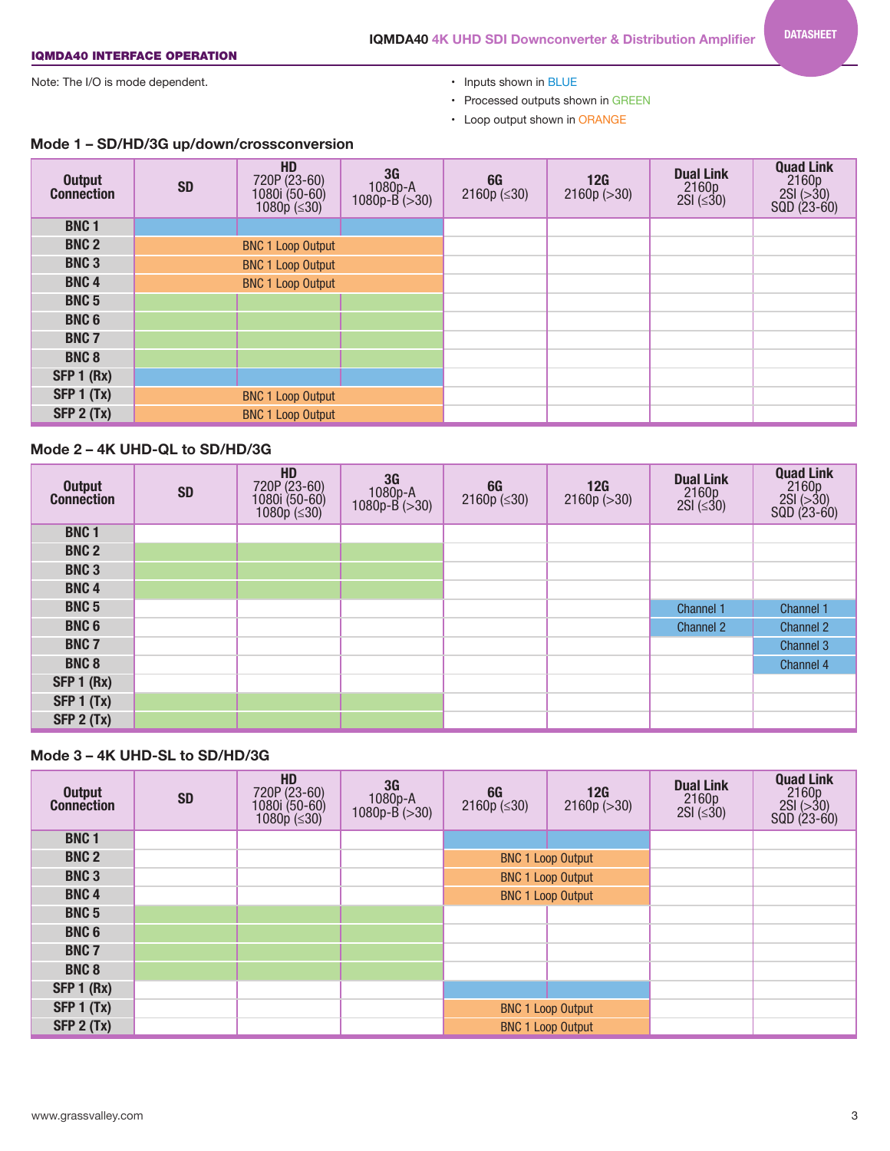## **IQMDA40 4K UHD SDI Downconverter & Distribution Amplifier**

## IQMDA40 INTERFACE OPERATION

Note: The I/O is mode dependent.  $\bullet$  Inputs shown in BLUE

- 
- Processed outputs shown in GREEN
- Loop output shown in ORANGE

| <b>Output</b><br><b>Connection</b> | <b>SD</b> | HD<br>720P (23-60)<br>1080i (50-60)<br>1080p (≤30) | 3G<br>$1080p - A$<br>1080p-B (>30) | 6G<br>2160 $p$ ( $\leq$ 30) | 12G<br>2160p (>30) | <b>Dual Link</b><br>$2160p$<br>$2SI (\leq 30)$ | <b>Quad Link</b><br>$2160p$<br>$2SI (>30)$<br>$SQD (23-60)$ |
|------------------------------------|-----------|----------------------------------------------------|------------------------------------|-----------------------------|--------------------|------------------------------------------------|-------------------------------------------------------------|
| <b>BNC1</b>                        |           |                                                    |                                    |                             |                    |                                                |                                                             |
| <b>BNC 2</b>                       |           | <b>BNC 1 Loop Output</b>                           |                                    |                             |                    |                                                |                                                             |
| <b>BNC3</b>                        |           | <b>BNC 1 Loop Output</b>                           |                                    |                             |                    |                                                |                                                             |
| <b>BNC4</b>                        |           | <b>BNC 1 Loop Output</b>                           |                                    |                             |                    |                                                |                                                             |
| <b>BNC 5</b>                       |           |                                                    |                                    |                             |                    |                                                |                                                             |
| <b>BNC6</b>                        |           |                                                    |                                    |                             |                    |                                                |                                                             |
| <b>BNC 7</b>                       |           |                                                    |                                    |                             |                    |                                                |                                                             |
| <b>BNC8</b>                        |           |                                                    |                                    |                             |                    |                                                |                                                             |
| SFP 1 (Rx)                         |           |                                                    |                                    |                             |                    |                                                |                                                             |
| SFP $1(Tx)$                        |           | <b>BNC 1 Loop Output</b>                           |                                    |                             |                    |                                                |                                                             |
| SFP 2 (Tx)                         |           | <b>BNC 1 Loop Output</b>                           |                                    |                             |                    |                                                |                                                             |

## **Mode 1 – SD/HD/3G up/down/crossconversion**

## **Mode 2 – 4K UHD-QL to SD/HD/3G**

| Output<br>Connection | <b>SD</b> | HD<br>720P (23-60)<br>1080i (50-60)<br>1080p (≤30) | $\begin{array}{c} 36 \\ 1080p-A \\ 1080p-B >30 \end{array}$ | $66$<br>2160p ( $\leq 30$ ) | 12G<br>2160p (>30) | <b>Dual Link</b><br>$2160p$<br>$2SI (\leq 30)$ | <b>Quad Link</b><br>$2160p$<br>$2SI (>30)$<br>$SQD (23-60)$ |
|----------------------|-----------|----------------------------------------------------|-------------------------------------------------------------|-----------------------------|--------------------|------------------------------------------------|-------------------------------------------------------------|
| <b>BNC1</b>          |           |                                                    |                                                             |                             |                    |                                                |                                                             |
| <b>BNC 2</b>         |           |                                                    |                                                             |                             |                    |                                                |                                                             |
| <b>BNC3</b>          |           |                                                    |                                                             |                             |                    |                                                |                                                             |
| <b>BNC4</b>          |           |                                                    |                                                             |                             |                    |                                                |                                                             |
| <b>BNC 5</b>         |           |                                                    |                                                             |                             |                    | Channel 1                                      | Channel 1                                                   |
| <b>BNC6</b>          |           |                                                    |                                                             |                             |                    | <b>Channel 2</b>                               | <b>Channel 2</b>                                            |
| <b>BNC 7</b>         |           |                                                    |                                                             |                             |                    |                                                | Channel 3                                                   |
| <b>BNC 8</b>         |           |                                                    |                                                             |                             |                    |                                                | Channel 4                                                   |
| SFP 1 (Rx)           |           |                                                    |                                                             |                             |                    |                                                |                                                             |
| <b>SFP 1 (Tx)</b>    |           |                                                    |                                                             |                             |                    |                                                |                                                             |
| SFP 2 (Tx)           |           |                                                    |                                                             |                             |                    |                                                |                                                             |

## **Mode 3 – 4K UHD-SL to SD/HD/3G**

| <b>Output</b><br><b>Connection</b> | <b>SD</b> | HD<br>720P (23-60)<br>1080i (50-60)<br>1080p (≤30) | 3G<br>$1080p-A$<br>$1080p-B (>30)$ | 6G<br>2160p $(\leq 30)$  | 12G<br>2160p (>30)       | <b>Dual Link</b><br>$2160p$<br>$2SI (\leq 30)$ | <b>Quad Link</b><br>$2160p$<br>$2SI (>30)$<br>$SQD (23-60)$ |
|------------------------------------|-----------|----------------------------------------------------|------------------------------------|--------------------------|--------------------------|------------------------------------------------|-------------------------------------------------------------|
| <b>BNC1</b>                        |           |                                                    |                                    |                          |                          |                                                |                                                             |
| <b>BNC 2</b>                       |           |                                                    |                                    |                          | <b>BNC 1 Loop Output</b> |                                                |                                                             |
| <b>BNC3</b>                        |           |                                                    |                                    | <b>BNC 1 Loop Output</b> |                          |                                                |                                                             |
| <b>BNC4</b>                        |           |                                                    |                                    | <b>BNC 1 Loop Output</b> |                          |                                                |                                                             |
| <b>BNC 5</b>                       |           |                                                    |                                    |                          |                          |                                                |                                                             |
| <b>BNC6</b>                        |           |                                                    |                                    |                          |                          |                                                |                                                             |
| <b>BNC 7</b>                       |           |                                                    |                                    |                          |                          |                                                |                                                             |
| <b>BNC 8</b>                       |           |                                                    |                                    |                          |                          |                                                |                                                             |
| SFP 1 (Rx)                         |           |                                                    |                                    |                          |                          |                                                |                                                             |
| <b>SFP 1 (Tx)</b>                  |           |                                                    |                                    | <b>BNC 1 Loop Output</b> |                          |                                                |                                                             |
| SFP 2 (Tx)                         |           |                                                    |                                    | <b>BNC 1 Loop Output</b> |                          |                                                |                                                             |

## DATASHEET